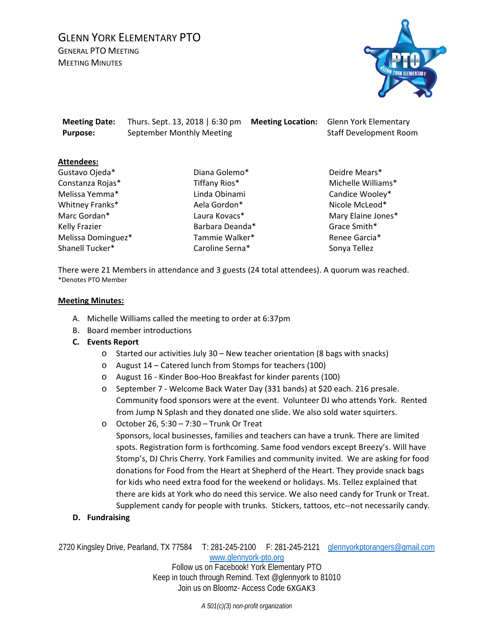# GLENN YORK ELEMENTARY PTO GENERAL PTO MEETING

**MEETING MINUTES** 



**Meeting Date:** Thurs. Sept. 13, 2018 | 6:30 pm **Meeting Location:** Glenn York Elementary **Purpose:** September Monthly Meeting Staff Development Room

## **Attendees:**

Gustavo Ojeda\* Constanza Rojas\* Melissa Yemma\* Whitney Franks\* Marc Gordan\* Kelly Frazier Melissa Dominguez\* Shanell Tucker\*

Diana Golemo\* Tiffany Rios\* Linda Obinami Aela Gordon\* Laura Kovacs\* Barbara Deanda\* Tammie Walker\* Caroline Serna\*

Deidre Mears\* Michelle Williams\* Candice Wooley\* Nicole McLeod\* Mary Elaine Jones\* Grace Smith\* Renee Garcia\* Sonya Tellez

There were 21 Members in attendance and 3 guests (24 total attendees). A quorum was reached. \*Denotes PTO Member

## **Meeting Minutes:**

- A. Michelle Williams called the meeting to order at 6:37pm
- B. Board member introductions
- **C. Events Report**
	- o Started our activities July 30 New teacher orientation (8 bags with snacks)
	- o August 14 Catered lunch from Stomps for teachers (100)
	- o August 16 Kinder Boo-Hoo Breakfast for kinder parents (100)
	- o September 7 Welcome Back Water Day (331 bands) at \$20 each. 216 presale. Community food sponsors were at the event. Volunteer DJ who attends York. Rented from Jump N Splash and they donated one slide. We also sold water squirters.
	- o October 26, 5:30 7:30 Trunk Or Treat

Sponsors, local businesses, families and teachers can have a trunk. There are limited spots. Registration form is forthcoming. Same food vendors except Breezy's. Will have Stomp's, DJ Chris Cherry. York Families and community invited. We are asking for food donations for Food from the Heart at Shepherd of the Heart. They provide snack bags for kids who need extra food for the weekend or holidays. Ms. Tellez explained that there are kids at York who do need this service. We also need candy for Trunk or Treat. Supplement candy for people with trunks. Stickers, tattoos, etc--not necessarily candy.

**D. Fundraising**

2720 Kingsley Drive, Pearland, TX 77584 T: 281-245-2100 F: 281-245-2121 [glennyorkptorangers@gmail.com](mailto:glennyorkptorangers@gmail.com)

[www.glennyork-pto.org](http://www.glennyork-pto.org/)

Follow us on Facebook! York Elementary PTO Keep in touch through Remind. Text @glennyork to 81010 Join us on Bloomz- Access Code 6XGAK3

*A 501(c)(3) non-profit organization*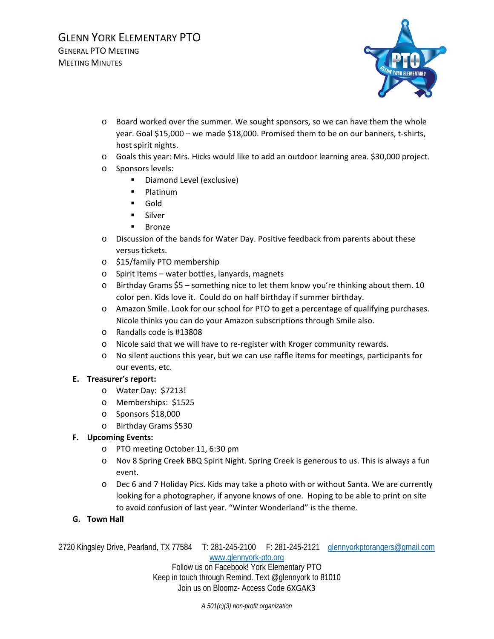

- o Board worked over the summer. We sought sponsors, so we can have them the whole year. Goal \$15,000 – we made \$18,000. Promised them to be on our banners, t-shirts, host spirit nights.
- o Goals this year: Mrs. Hicks would like to add an outdoor learning area. \$30,000 project.
- o Sponsors levels:
	- **Diamond Level (exclusive)**
	- **Platinum**
	- Gold
	- **Silver**
	- **Bronze**
- o Discussion of the bands for Water Day. Positive feedback from parents about these versus tickets.
- o \$15/family PTO membership
- o Spirit Items water bottles, lanyards, magnets
- o Birthday Grams \$5 something nice to let them know you're thinking about them. 10 color pen. Kids love it. Could do on half birthday if summer birthday.
- o Amazon Smile. Look for our school for PTO to get a percentage of qualifying purchases. Nicole thinks you can do your Amazon subscriptions through Smile also.
- o Randalls code is #13808
- o Nicole said that we will have to re-register with Kroger community rewards.
- o No silent auctions this year, but we can use raffle items for meetings, participants for our events, etc.

## **E. Treasurer's report:**

- o Water Day: \$7213!
- o Memberships: \$1525
- o Sponsors \$18,000
- o Birthday Grams \$530

## **F. Upcoming Events:**

- o PTO meeting October 11, 6:30 pm
- o Nov 8 Spring Creek BBQ Spirit Night. Spring Creek is generous to us. This is always a fun event.
- o Dec 6 and 7 Holiday Pics. Kids may take a photo with or without Santa. We are currently looking for a photographer, if anyone knows of one. Hoping to be able to print on site to avoid confusion of last year. "Winter Wonderland" is the theme.
- **G. Town Hall**

2720 Kingsley Drive, Pearland, TX 77584 T: 281-245-2100 F: 281-245-2121 [glennyorkptorangers@gmail.com](mailto:glennyorkptorangers@gmail.com)

[www.glennyork-pto.org](http://www.glennyork-pto.org/)

Follow us on Facebook! York Elementary PTO Keep in touch through Remind. Text @glennyork to 81010 Join us on Bloomz- Access Code 6XGAK3